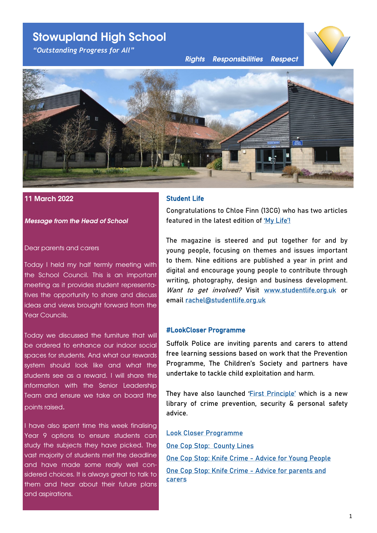# **Stowupland High School**

*"Outstanding Progress for All"*

*Rights Responsibilities Respect*





#### **11 March 2022**

*Message from the Head of School*

#### Dear parents and carers

Today I held my half termly meeting with the School Council. This is an important meeting as it provides student representatives the opportunity to share and discuss ideas and views brought forward from the Year Councils.

Today we discussed the furniture that will be ordered to enhance our indoor social spaces for students. And what our rewards system should look like and what the students see as a reward. I will share this information with the Senior Leadership Team and ensure we take on board the points raised.

I have also spent time this week finalising Year 9 options to ensure students can study the subjects they have picked. The vast majority of students met the deadline and have made some really well considered choices. It is always great to talk to them and hear about their future plans and aspirations.

### Student Life

Congratulations to Chloe Finn (13CG) who has two articles featured in the latest edition of ['My Life'!](https://www.studentlife.org.uk/the-magazine/)

The magazine is steered and put together for and by young people, focusing on themes and issues important to them. Nine editions are published a year in print and digital and encourage young people to contribute through writing, photography, design and business development. Want to get involved? Visit [www.studentlife.org.uk](http://www.studentlife.org.uk) or email [rachel@studentlife.org.uk](mailto:rachel@studentlife.org.uk)

#### #LookCloser Programme

Suffolk Police are inviting parents and carers to attend free learning sessions based on work that the Prevention Programme, The Children's Society and partners have undertake to tackle child exploitation and harm.

They have also launched ['First Principle'](https://www.suffolk.police.uk/crime-prevention-z) which is a new library of crime prevention, security & personal safety advice.

[Look Closer Programme](https://drive.google.com/file/d/114kE7mZdfH6mXwVgi3IfA3bPO7Y5QawY/view?usp=sharing) [One Cop Stop: County Lines](https://drive.google.com/file/d/1hCif2eoysPCYZfdbNhmv9VEPNRPjl7oa/view?usp=sharing) [One Cop Stop: Knife Crime](https://drive.google.com/file/d/1PMtv4_lM9o6KqWIPFgoC5qKaqVMrU3py/view?usp=sharing) - Advice for Young People [One Cop Stop: Knife Crime](https://drive.google.com/file/d/1ZbzS4hLffmfp4hN5kQkxYo3H3Qn04Vew/view?usp=sharing) - Advice for parents and [carers](https://drive.google.com/file/d/1ZbzS4hLffmfp4hN5kQkxYo3H3Qn04Vew/view?usp=sharing)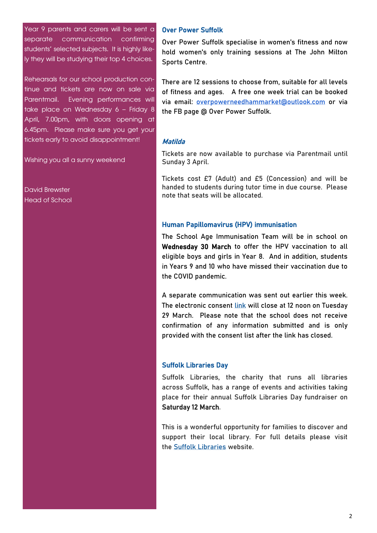Year 9 parents and carers will be sent a separate communication confirming students' selected subjects. It is highly likely they will be studying their top 4 choices.

Rehearsals for our school production continue and tickets are now on sale via Parentmail. Evening performances will take place on Wednesday 6 – Friday 8 April, 7.00pm, with doors opening at 6.45pm. Please make sure you get your tickets early to avoid disappointment!

Wishing you all a sunny weekend

David Brewster Head of School

#### Over Power Suffolk

Over Power Suffolk specialise in women's fitness and now hold women's only training sessions at The John Milton Sports Centre.

There are 12 sessions to choose from, suitable for all levels of fitness and ages. A free one week trial can be booked via email: [overpowerneedhammarket@outlook.com](mailto:overpowerneedhammarket@outlook.com) or via the FB page @ Over Power Suffolk.

#### Matilda

Tickets are now available to purchase via Parentmail until Sunday 3 April.

Tickets cost £7 (Adult) and £5 (Concession) and will be handed to students during tutor time in due course. Please note that seats will be allocated.

#### Human Papillomavirus (HPV) immunisation

The School Age Immunisation Team will be in school on Wednesday 30 March to offer the HPV vaccination to all eligible boys and girls in Year 8. And in addition, students in Years 9 and 10 who have missed their vaccination due to the COVID pandemic.

A separate communication was sent out earlier this week. The electronic consent [link](https://forms.hct.nhs.uk/HPVConsent/eForm/#!/Page1) will close at 12 noon on Tuesday 29 March. Please note that the school does not receive confirmation of any information submitted and is only provided with the consent list after the link has closed.

#### Suffolk Libraries Day

Suffolk Libraries, the charity that runs all libraries across Suffolk, has a range of events and activities taking place for their annual Suffolk Libraries Day fundraiser on Saturday 12 March.

This is a wonderful opportunity for families to discover and support their local library. For full details please visit the [Suffolk Libraries](https://www.suffolklibraries.co.uk/whats-on/annual-events/suffolk-libraries-day) website.